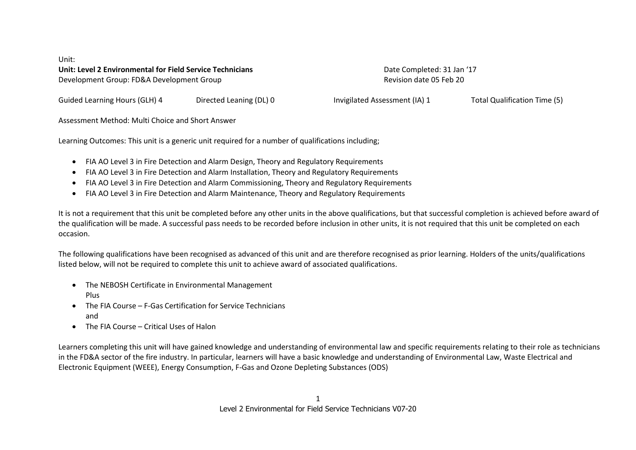Unit: **Unit: Level 2 Environmental for Field Service Technicians and Completed: 31 Jan '17 Completed: 31 Jan '17 Completed: 31 Jan '17 Completed: 31 Jan '17 Completed: 31 Jan '17** Development Group: FD&A Development Group Revision date 05 Feb 20

Guided Learning Hours (GLH) 4 Directed Leaning (DL) 0 Invigilated Assessment (IA) 1 Total Qualification Time (5)

Assessment Method: Multi Choice and Short Answer

Learning Outcomes: This unit is a generic unit required for a number of qualifications including;

- FIA AO Level 3 in Fire Detection and Alarm Design, Theory and Regulatory Requirements
- FIA AO Level 3 in Fire Detection and Alarm Installation, Theory and Regulatory Requirements
- FIA AO Level 3 in Fire Detection and Alarm Commissioning, Theory and Regulatory Requirements
- FIA AO Level 3 in Fire Detection and Alarm Maintenance, Theory and Regulatory Requirements

It is not a requirement that this unit be completed before any other units in the above qualifications, but that successful completion is achieved before award of the qualification will be made. A successful pass needs to be recorded before inclusion in other units, it is not required that this unit be completed on each occasion.

The following qualifications have been recognised as advanced of this unit and are therefore recognised as prior learning. Holders of the units/qualifications listed below, will not be required to complete this unit to achieve award of associated qualifications.

- The NEBOSH Certificate in Environmental Management Plus
- The FIA Course F-Gas Certification for Service Technicians and
- The FIA Course Critical Uses of Halon

Learners completing this unit will have gained knowledge and understanding of environmental law and specific requirements relating to their role as technicians in the FD&A sector of the fire industry. In particular, learners will have a basic knowledge and understanding of Environmental Law, Waste Electrical and Electronic Equipment (WEEE), Energy Consumption, F-Gas and Ozone Depleting Substances (ODS)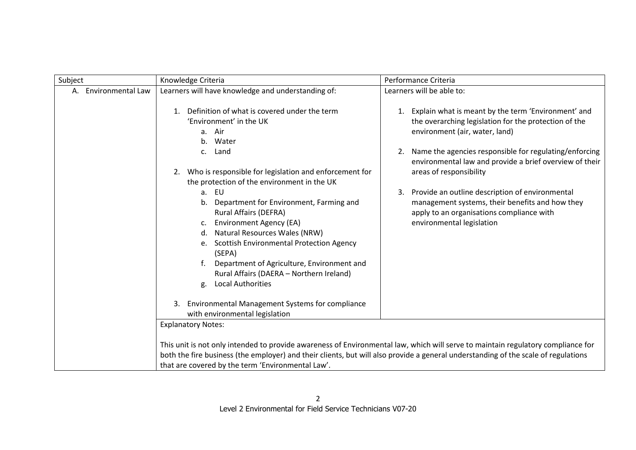| Subject<br>Performance Criteria<br>Knowledge Criteria |                                                                                                                                                                                                                                                                                                                                                                                                                                                                                                                                                                                                                                             |                                                                                                                                                                                                                                                                                                                                                                                                                                                                                                  |
|-------------------------------------------------------|---------------------------------------------------------------------------------------------------------------------------------------------------------------------------------------------------------------------------------------------------------------------------------------------------------------------------------------------------------------------------------------------------------------------------------------------------------------------------------------------------------------------------------------------------------------------------------------------------------------------------------------------|--------------------------------------------------------------------------------------------------------------------------------------------------------------------------------------------------------------------------------------------------------------------------------------------------------------------------------------------------------------------------------------------------------------------------------------------------------------------------------------------------|
| A. Environmental Law                                  | Learners will have knowledge and understanding of:                                                                                                                                                                                                                                                                                                                                                                                                                                                                                                                                                                                          | Learners will be able to:                                                                                                                                                                                                                                                                                                                                                                                                                                                                        |
|                                                       | Definition of what is covered under the term<br>1.<br>'Environment' in the UK<br>a. Air<br>b. Water<br>Land<br>c.<br>2. Who is responsible for legislation and enforcement for<br>the protection of the environment in the UK<br>a. EU<br>Department for Environment, Farming and<br>b.<br>Rural Affairs (DEFRA)<br><b>Environment Agency (EA)</b><br>Natural Resources Wales (NRW)<br><b>Scottish Environmental Protection Agency</b><br>e.<br>(SEPA)<br>Department of Agriculture, Environment and<br>Rural Affairs (DAERA - Northern Ireland)<br><b>Local Authorities</b><br>g.<br>Environmental Management Systems for compliance<br>3. | Explain what is meant by the term 'Environment' and<br>1.<br>the overarching legislation for the protection of the<br>environment (air, water, land)<br>Name the agencies responsible for regulating/enforcing<br>2.<br>environmental law and provide a brief overview of their<br>areas of responsibility<br>Provide an outline description of environmental<br>3.<br>management systems, their benefits and how they<br>apply to an organisations compliance with<br>environmental legislation |
|                                                       | with environmental legislation                                                                                                                                                                                                                                                                                                                                                                                                                                                                                                                                                                                                              |                                                                                                                                                                                                                                                                                                                                                                                                                                                                                                  |
|                                                       | <b>Explanatory Notes:</b>                                                                                                                                                                                                                                                                                                                                                                                                                                                                                                                                                                                                                   |                                                                                                                                                                                                                                                                                                                                                                                                                                                                                                  |
|                                                       | This unit is not only intended to provide awareness of Environmental law, which will serve to maintain regulatory compliance for<br>both the fire business (the employer) and their clients, but will also provide a general understanding of the scale of regulations<br>that are covered by the term 'Environmental Law'.                                                                                                                                                                                                                                                                                                                 |                                                                                                                                                                                                                                                                                                                                                                                                                                                                                                  |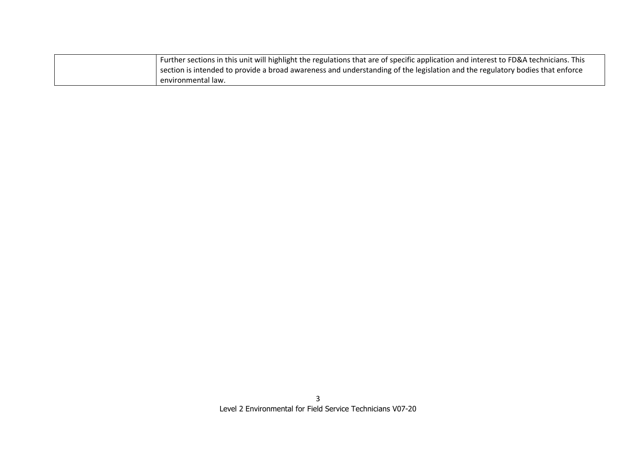| Further sections in this unit will highlight the regulations that are of specific application and interest to FD&A technicians. This |
|--------------------------------------------------------------------------------------------------------------------------------------|
| section is intended to provide a broad awareness and understanding of the legislation and the regulatory bodies that enforce         |
| environmental law.                                                                                                                   |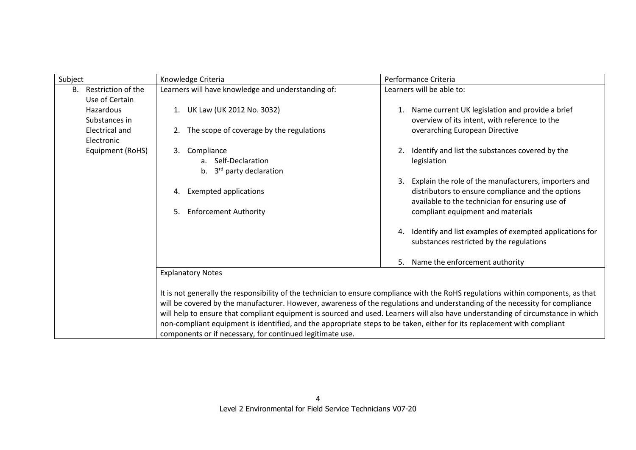| Subject |                       | Knowledge Criteria                                                                                                                 | Performance Criteria                                          |  |
|---------|-----------------------|------------------------------------------------------------------------------------------------------------------------------------|---------------------------------------------------------------|--|
| B.      | Restriction of the    | Learners will have knowledge and understanding of:                                                                                 | Learners will be able to:                                     |  |
|         | Use of Certain        |                                                                                                                                    |                                                               |  |
|         | Hazardous             | 1. UK Law (UK 2012 No. 3032)                                                                                                       | Name current UK legislation and provide a brief<br>1.         |  |
|         | Substances in         |                                                                                                                                    | overview of its intent, with reference to the                 |  |
|         | <b>Electrical and</b> | The scope of coverage by the regulations<br>2.                                                                                     | overarching European Directive                                |  |
|         | Electronic            |                                                                                                                                    |                                                               |  |
|         | Equipment (RoHS)      | Compliance<br>3.                                                                                                                   | Identify and list the substances covered by the<br>2.         |  |
|         |                       | a. Self-Declaration                                                                                                                | legislation                                                   |  |
|         |                       | 3 <sup>rd</sup> party declaration<br>b.                                                                                            |                                                               |  |
|         |                       |                                                                                                                                    | Explain the role of the manufacturers, importers and<br>3.    |  |
|         |                       | <b>Exempted applications</b><br>4.                                                                                                 | distributors to ensure compliance and the options             |  |
|         |                       |                                                                                                                                    | available to the technician for ensuring use of               |  |
|         |                       | <b>Enforcement Authority</b><br>5.                                                                                                 | compliant equipment and materials                             |  |
|         |                       |                                                                                                                                    |                                                               |  |
|         |                       |                                                                                                                                    | Identify and list examples of exempted applications for<br>4. |  |
|         |                       |                                                                                                                                    | substances restricted by the regulations                      |  |
|         |                       |                                                                                                                                    |                                                               |  |
|         |                       |                                                                                                                                    | Name the enforcement authority<br>5.                          |  |
|         |                       | <b>Explanatory Notes</b>                                                                                                           |                                                               |  |
|         |                       |                                                                                                                                    |                                                               |  |
|         |                       | It is not generally the responsibility of the technician to ensure compliance with the RoHS regulations within components, as that |                                                               |  |
|         |                       | will be covered by the manufacturer. However, awareness of the regulations and understanding of the necessity for compliance       |                                                               |  |
|         |                       | will help to ensure that compliant equipment is sourced and used. Learners will also have understanding of circumstance in which   |                                                               |  |
|         |                       | non-compliant equipment is identified, and the appropriate steps to be taken, either for its replacement with compliant            |                                                               |  |
|         |                       | components or if necessary, for continued legitimate use.                                                                          |                                                               |  |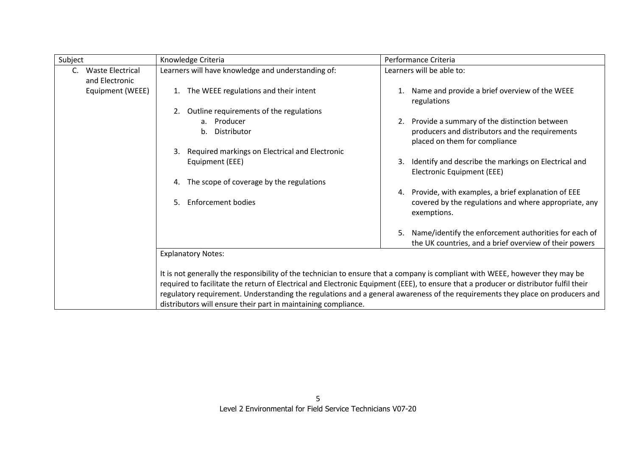| Subject |                         | Knowledge Criteria                                                                                                                                                                              | Performance Criteria                                                                     |
|---------|-------------------------|-------------------------------------------------------------------------------------------------------------------------------------------------------------------------------------------------|------------------------------------------------------------------------------------------|
| C.      | <b>Waste Electrical</b> | Learners will have knowledge and understanding of:                                                                                                                                              | Learners will be able to:                                                                |
|         | and Electronic          |                                                                                                                                                                                                 |                                                                                          |
|         | Equipment (WEEE)        | The WEEE regulations and their intent                                                                                                                                                           | Name and provide a brief overview of the WEEE<br>regulations                             |
|         |                         | Outline requirements of the regulations<br>2.                                                                                                                                                   |                                                                                          |
|         |                         | a. Producer                                                                                                                                                                                     | Provide a summary of the distinction between<br>2.                                       |
|         |                         | b. Distributor                                                                                                                                                                                  | producers and distributors and the requirements<br>placed on them for compliance         |
|         |                         | Required markings on Electrical and Electronic<br>3.                                                                                                                                            |                                                                                          |
|         |                         | Equipment (EEE)                                                                                                                                                                                 | Identify and describe the markings on Electrical and<br>3.<br>Electronic Equipment (EEE) |
|         |                         | The scope of coverage by the regulations<br>4.                                                                                                                                                  |                                                                                          |
|         |                         |                                                                                                                                                                                                 | Provide, with examples, a brief explanation of EEE<br>4.                                 |
|         |                         | <b>Enforcement bodies</b><br>5.                                                                                                                                                                 | covered by the regulations and where appropriate, any<br>exemptions.                     |
|         |                         |                                                                                                                                                                                                 | Name/identify the enforcement authorities for each of<br>5.                              |
|         |                         |                                                                                                                                                                                                 | the UK countries, and a brief overview of their powers                                   |
|         |                         | <b>Explanatory Notes:</b>                                                                                                                                                                       |                                                                                          |
|         |                         |                                                                                                                                                                                                 |                                                                                          |
|         |                         | It is not generally the responsibility of the technician to ensure that a company is compliant with WEEE, however they may be                                                                   |                                                                                          |
|         |                         | required to facilitate the return of Electrical and Electronic Equipment (EEE), to ensure that a producer or distributor fulfil their                                                           |                                                                                          |
|         |                         | regulatory requirement. Understanding the regulations and a general awareness of the requirements they place on producers and<br>distributors will ensure their part in maintaining compliance. |                                                                                          |
|         |                         |                                                                                                                                                                                                 |                                                                                          |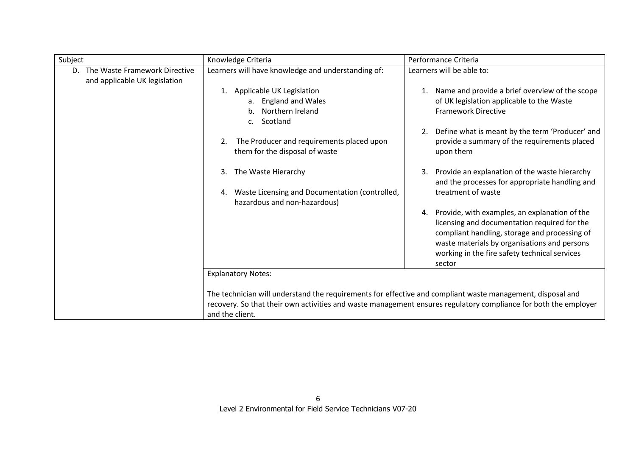| Subject                                                              | Knowledge Criteria                                                                                                             | Performance Criteria                                                                                                                                                                                                                                         |
|----------------------------------------------------------------------|--------------------------------------------------------------------------------------------------------------------------------|--------------------------------------------------------------------------------------------------------------------------------------------------------------------------------------------------------------------------------------------------------------|
| The Waste Framework Directive<br>D.<br>and applicable UK legislation | Learners will have knowledge and understanding of:                                                                             | Learners will be able to:                                                                                                                                                                                                                                    |
|                                                                      | Applicable UK Legislation<br>1.<br><b>England and Wales</b><br>$a_{-}$<br>Northern Ireland<br>b.<br>Scotland<br>C <sub>1</sub> | Name and provide a brief overview of the scope<br>of UK legislation applicable to the Waste<br><b>Framework Directive</b>                                                                                                                                    |
|                                                                      | The Producer and requirements placed upon<br>2.<br>them for the disposal of waste                                              | Define what is meant by the term 'Producer' and<br>provide a summary of the requirements placed<br>upon them                                                                                                                                                 |
|                                                                      | The Waste Hierarchy<br>3.                                                                                                      | Provide an explanation of the waste hierarchy<br>3.<br>and the processes for appropriate handling and                                                                                                                                                        |
|                                                                      | Waste Licensing and Documentation (controlled,<br>hazardous and non-hazardous)                                                 | treatment of waste                                                                                                                                                                                                                                           |
|                                                                      |                                                                                                                                | 4. Provide, with examples, an explanation of the<br>licensing and documentation required for the<br>compliant handling, storage and processing of<br>waste materials by organisations and persons<br>working in the fire safety technical services<br>sector |
|                                                                      | <b>Explanatory Notes:</b>                                                                                                      |                                                                                                                                                                                                                                                              |
|                                                                      | The technician will understand the requirements for effective and compliant waste management, disposal and<br>and the client.  | recovery. So that their own activities and waste management ensures regulatory compliance for both the employer                                                                                                                                              |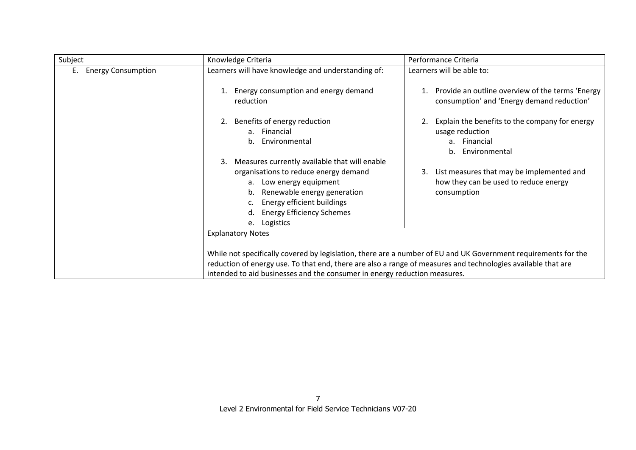| Subject                         | Knowledge Criteria                                                                                                                                                                                                                                                                                                                      | Performance Criteria                                                                                          |
|---------------------------------|-----------------------------------------------------------------------------------------------------------------------------------------------------------------------------------------------------------------------------------------------------------------------------------------------------------------------------------------|---------------------------------------------------------------------------------------------------------------|
| <b>Energy Consumption</b><br>Е. | Learners will have knowledge and understanding of:                                                                                                                                                                                                                                                                                      | Learners will be able to:                                                                                     |
|                                 | Energy consumption and energy demand<br>reduction                                                                                                                                                                                                                                                                                       | Provide an outline overview of the terms 'Energy<br>consumption' and 'Energy demand reduction'                |
|                                 | Benefits of energy reduction<br>2.<br>a. Financial<br>b. Environmental                                                                                                                                                                                                                                                                  | Explain the benefits to the company for energy<br>usage reduction<br>a. Financial<br>Environmental<br>$h_{-}$ |
|                                 | Measures currently available that will enable<br>3.<br>organisations to reduce energy demand<br>a. Low energy equipment<br>Renewable energy generation<br>b.<br>Energy efficient buildings<br><b>Energy Efficiency Schemes</b><br>Logistics<br>e.                                                                                       | List measures that may be implemented and<br>how they can be used to reduce energy<br>consumption             |
|                                 | <b>Explanatory Notes</b><br>While not specifically covered by legislation, there are a number of EU and UK Government requirements for the<br>reduction of energy use. To that end, there are also a range of measures and technologies available that are<br>intended to aid businesses and the consumer in energy reduction measures. |                                                                                                               |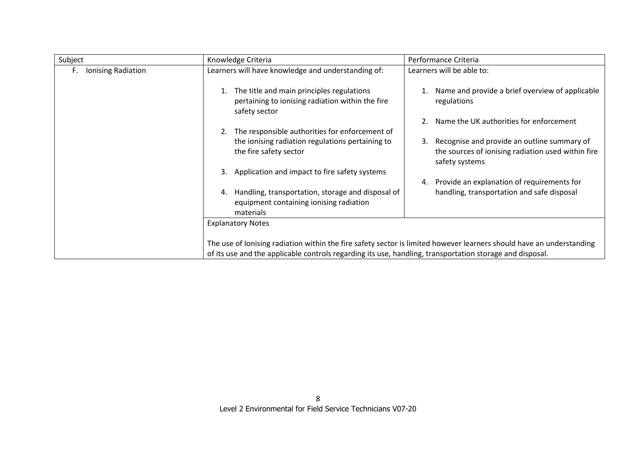| Subject                  | Knowledge Criteria                                                                                              | Performance Criteria                                                                                                      |
|--------------------------|-----------------------------------------------------------------------------------------------------------------|---------------------------------------------------------------------------------------------------------------------------|
| Ionising Radiation<br>F. | Learners will have knowledge and understanding of:                                                              | Learners will be able to:                                                                                                 |
|                          | The title and main principles regulations<br>pertaining to ionising radiation within the fire<br>safety sector  | Name and provide a brief overview of applicable<br>regulations                                                            |
|                          |                                                                                                                 | Name the UK authorities for enforcement                                                                                   |
|                          | The responsible authorities for enforcement of<br>2.                                                            |                                                                                                                           |
|                          | the ionising radiation regulations pertaining to<br>the fire safety sector                                      | Recognise and provide an outline summary of<br>3.<br>the sources of ionising radiation used within fire<br>safety systems |
|                          | Application and impact to fire safety systems<br>3.                                                             |                                                                                                                           |
|                          |                                                                                                                 | Provide an explanation of requirements for                                                                                |
|                          | Handling, transportation, storage and disposal of<br>4.<br>equipment containing ionising radiation<br>materials | handling, transportation and safe disposal                                                                                |
|                          | <b>Explanatory Notes</b>                                                                                        |                                                                                                                           |
|                          | of its use and the applicable controls regarding its use, handling, transportation storage and disposal.        | The use of lonising radiation within the fire safety sector is limited however learners should have an understanding      |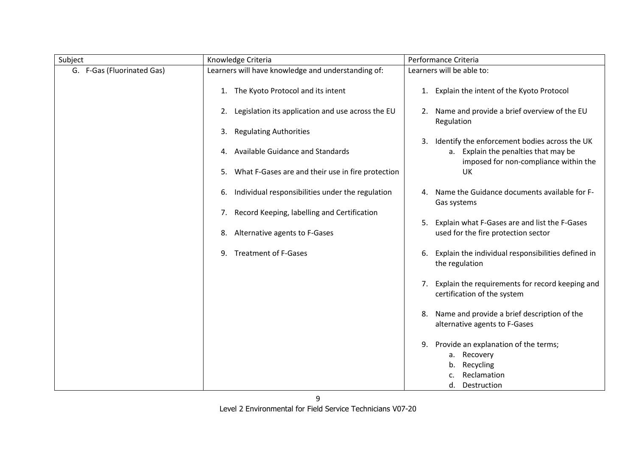| Subject                    | Knowledge Criteria                                      | Performance Criteria                                                                                                                 |
|----------------------------|---------------------------------------------------------|--------------------------------------------------------------------------------------------------------------------------------------|
| G. F-Gas (Fluorinated Gas) | Learners will have knowledge and understanding of:      | Learners will be able to:                                                                                                            |
|                            | 1. The Kyoto Protocol and its intent                    | Explain the intent of the Kyoto Protocol<br>1.                                                                                       |
|                            | Legislation its application and use across the EU<br>2. | 2. Name and provide a brief overview of the EU<br>Regulation                                                                         |
|                            | <b>Regulating Authorities</b><br>3.                     |                                                                                                                                      |
|                            | Available Guidance and Standards<br>4.                  | Identify the enforcement bodies across the UK<br>3.<br>a. Explain the penalties that may be<br>imposed for non-compliance within the |
|                            | What F-Gases are and their use in fire protection<br>5. | UK                                                                                                                                   |
|                            | Individual responsibilities under the regulation<br>6.  | Name the Guidance documents available for F-<br>Gas systems                                                                          |
|                            | Record Keeping, labelling and Certification<br>7.       |                                                                                                                                      |
|                            | Alternative agents to F-Gases<br>8.                     | Explain what F-Gases are and list the F-Gases<br>5.<br>used for the fire protection sector                                           |
|                            | <b>Treatment of F-Gases</b><br>9.                       | Explain the individual responsibilities defined in<br>6.<br>the regulation                                                           |
|                            |                                                         | Explain the requirements for record keeping and<br>7.<br>certification of the system                                                 |
|                            |                                                         | Name and provide a brief description of the<br>8.<br>alternative agents to F-Gases                                                   |
|                            |                                                         | Provide an explanation of the terms;<br>9.<br>a. Recovery                                                                            |
|                            |                                                         | Recycling<br>b.                                                                                                                      |
|                            |                                                         | Reclamation                                                                                                                          |
|                            |                                                         | Destruction<br>d.                                                                                                                    |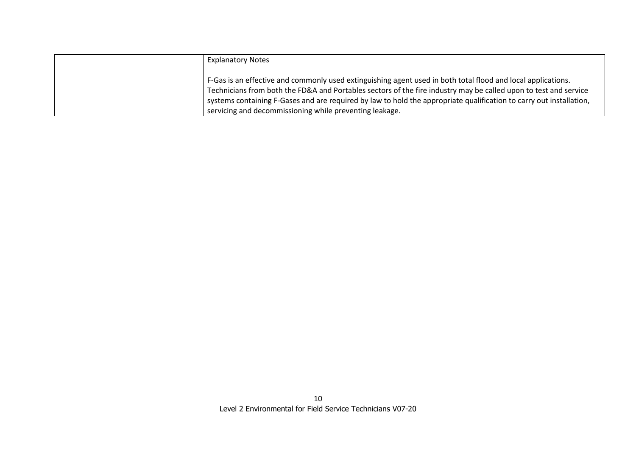| <b>Explanatory Notes</b>                                                                                            |
|---------------------------------------------------------------------------------------------------------------------|
| F-Gas is an effective and commonly used extinguishing agent used in both total flood and local applications.        |
| Technicians from both the FD&A and Portables sectors of the fire industry may be called upon to test and service    |
| systems containing F-Gases and are required by law to hold the appropriate qualification to carry out installation, |
| servicing and decommissioning while preventing leakage.                                                             |